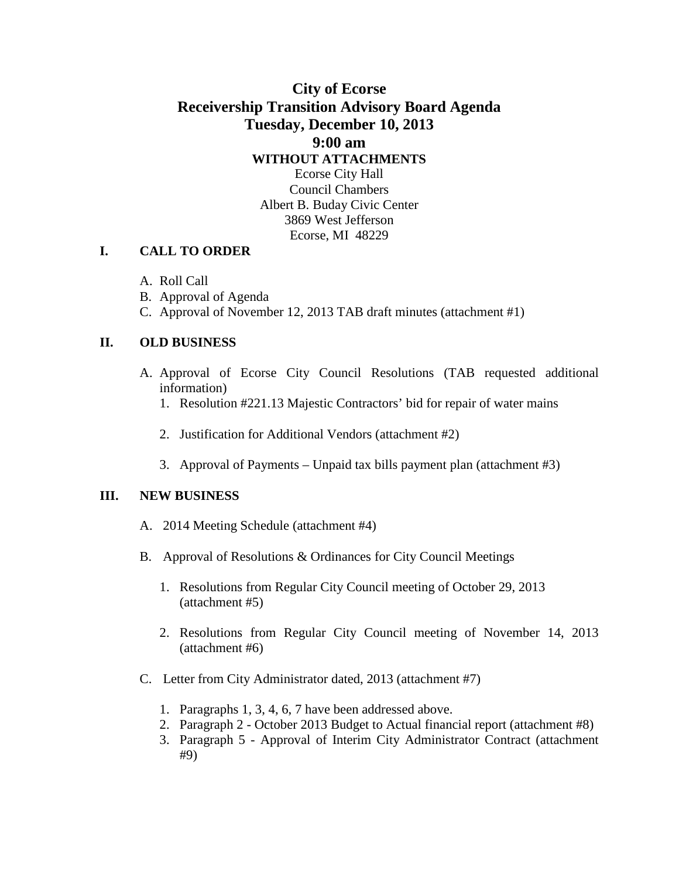## **City of Ecorse Receivership Transition Advisory Board Agenda Tuesday, December 10, 2013 9:00 am WITHOUT ATTACHMENTS** Ecorse City Hall Council Chambers Albert B. Buday Civic Center

3869 West Jefferson Ecorse, MI 48229

#### **I. CALL TO ORDER**

- A. Roll Call
- B. Approval of Agenda
- C. Approval of November 12, 2013 TAB draft minutes (attachment #1)

#### **II. OLD BUSINESS**

- A. Approval of Ecorse City Council Resolutions (TAB requested additional information)
	- 1. Resolution #221.13 Majestic Contractors' bid for repair of water mains
	- 2. Justification for Additional Vendors (attachment #2)
	- 3. Approval of Payments Unpaid tax bills payment plan (attachment #3)

#### **III. NEW BUSINESS**

- A. 2014 Meeting Schedule (attachment #4)
- B. Approval of Resolutions & Ordinances for City Council Meetings
	- 1. Resolutions from Regular City Council meeting of October 29, 2013 (attachment #5)
	- 2. Resolutions from Regular City Council meeting of November 14, 2013 (attachment #6)
- C. Letter from City Administrator dated, 2013 (attachment #7)
	- 1. Paragraphs 1, 3, 4, 6, 7 have been addressed above.
	- 2. Paragraph 2 October 2013 Budget to Actual financial report (attachment #8)
	- 3. Paragraph 5 Approval of Interim City Administrator Contract (attachment #9)